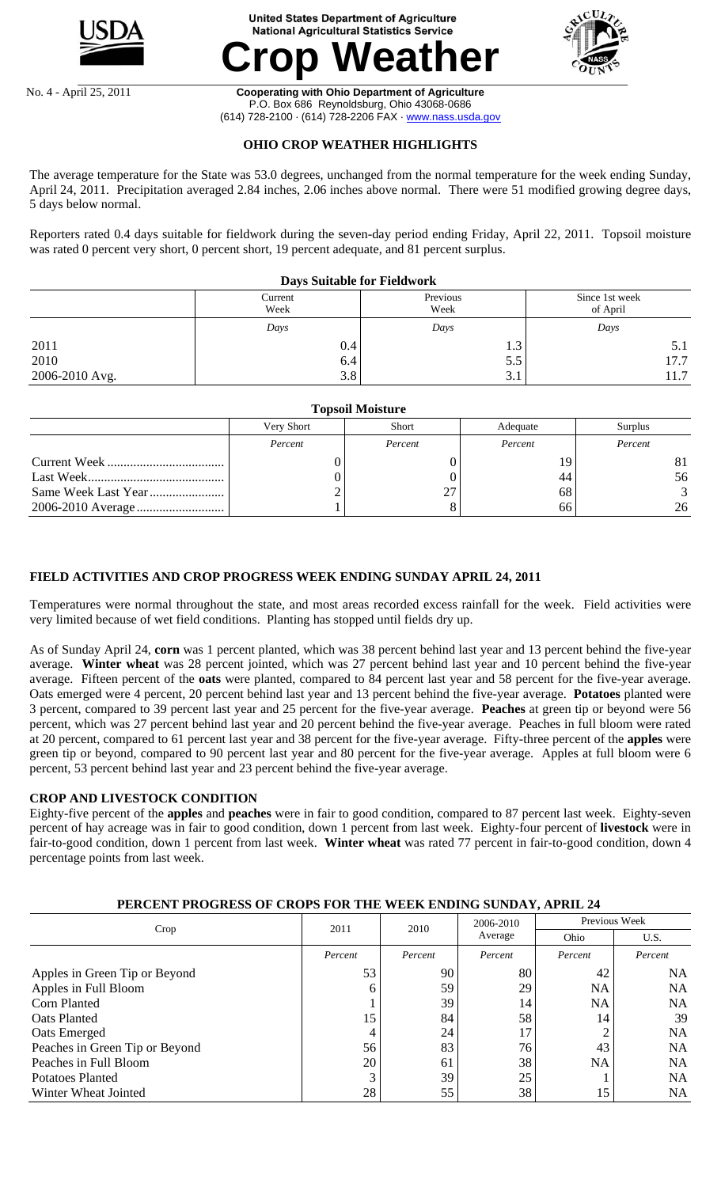

#### **United States Department of Agriculture National Agricultural Statistics Service**





#### No. 4 - April 25, 2011 **Cooperating with Ohio Department of Agriculture**  P.O. Box 686 Reynoldsburg, Ohio 43068-0686 (614) 728-2100 · (614) 728-2206 FAX · www.nass.usda.gov

## **OHIO CROP WEATHER HIGHLIGHTS**

The average temperature for the State was 53.0 degrees, unchanged from the normal temperature for the week ending Sunday, April 24, 2011. Precipitation averaged 2.84 inches, 2.06 inches above normal. There were 51 modified growing degree days, 5 days below normal.

Reporters rated 0.4 days suitable for fieldwork during the seven-day period ending Friday, April 22, 2011. Topsoil moisture was rated 0 percent very short, 0 percent short, 19 percent adequate, and 81 percent surplus.

|                | <b>Days Suitable for Fieldwork</b> |                  |                                    |  |
|----------------|------------------------------------|------------------|------------------------------------|--|
|                | Current<br>Week                    | Previous<br>Week | Since 1st week<br>of April<br>Days |  |
|                | Days                               | Days             |                                    |  |
| 2011           | 0.4                                | 1.3              | 5.1                                |  |
| 2010           | 6.4                                | 5.5              | 17.7                               |  |
| 2006-2010 Avg. | 3.8                                | 3.1              | 11.7                               |  |

| <b>Topsoil Moisture</b> |            |              |          |         |  |  |  |  |
|-------------------------|------------|--------------|----------|---------|--|--|--|--|
|                         | Very Short | <b>Short</b> | Adequate | Surplus |  |  |  |  |
|                         | Percent    | Percent      | Percent  | Percent |  |  |  |  |
|                         |            |              | 19       | 81      |  |  |  |  |
|                         |            |              | 44       | 56      |  |  |  |  |
|                         |            |              | 68       |         |  |  |  |  |
|                         |            |              | 66       | 26      |  |  |  |  |

### **FIELD ACTIVITIES AND CROP PROGRESS WEEK ENDING SUNDAY APRIL 24, 2011**

Temperatures were normal throughout the state, and most areas recorded excess rainfall for the week. Field activities were very limited because of wet field conditions. Planting has stopped until fields dry up.

As of Sunday April 24, **corn** was 1 percent planted, which was 38 percent behind last year and 13 percent behind the five-year average. **Winter wheat** was 28 percent jointed, which was 27 percent behind last year and 10 percent behind the five-year average. Fifteen percent of the **oats** were planted, compared to 84 percent last year and 58 percent for the five-year average. Oats emerged were 4 percent, 20 percent behind last year and 13 percent behind the five-year average. **Potatoes** planted were 3 percent, compared to 39 percent last year and 25 percent for the five-year average. **Peaches** at green tip or beyond were 56 percent, which was 27 percent behind last year and 20 percent behind the five-year average. Peaches in full bloom were rated at 20 percent, compared to 61 percent last year and 38 percent for the five-year average. Fifty-three percent of the **apples** were green tip or beyond, compared to 90 percent last year and 80 percent for the five-year average. Apples at full bloom were 6 percent, 53 percent behind last year and 23 percent behind the five-year average.

### **CROP AND LIVESTOCK CONDITION**

Eighty-five percent of the **apples** and **peaches** were in fair to good condition, compared to 87 percent last week. Eighty-seven percent of hay acreage was in fair to good condition, down 1 percent from last week. Eighty-four percent of **livestock** were in fair-to-good condition, down 1 percent from last week. **Winter wheat** was rated 77 percent in fair-to-good condition, down 4 percentage points from last week.

# **PERCENT PROGRESS OF CROPS FOR THE WEEK ENDING SUNDAY, APRIL 24**

|                                | 2011           | 2010    | 2006-2010 | Previous Week |           |  |
|--------------------------------|----------------|---------|-----------|---------------|-----------|--|
| Crop                           |                |         | Average   | Ohio          | U.S.      |  |
|                                | Percent        | Percent | Percent   | Percent       | Percent   |  |
| Apples in Green Tip or Beyond  | 53             | 90      | 80        | 42            | NA        |  |
| Apples in Full Bloom           | 6              | 59      | 29        | NA.           | NA        |  |
| Corn Planted                   |                | 39      | 14        | NA.           | NA        |  |
| Oats Planted                   | 15             | 84      | 58        | 14            | 39        |  |
| Oats Emerged                   | $\overline{4}$ | 24      | 17        | ◠             | NA.       |  |
| Peaches in Green Tip or Beyond | 56             | 83      | 76        | 43            | <b>NA</b> |  |
| Peaches in Full Bloom          | 20             | 61      | 38        | NA            | NA        |  |
| Potatoes Planted               | 3              | 39      | 25        |               | NA        |  |
| Winter Wheat Jointed           | 28             | 55      | 38        | 15            | <b>NA</b> |  |